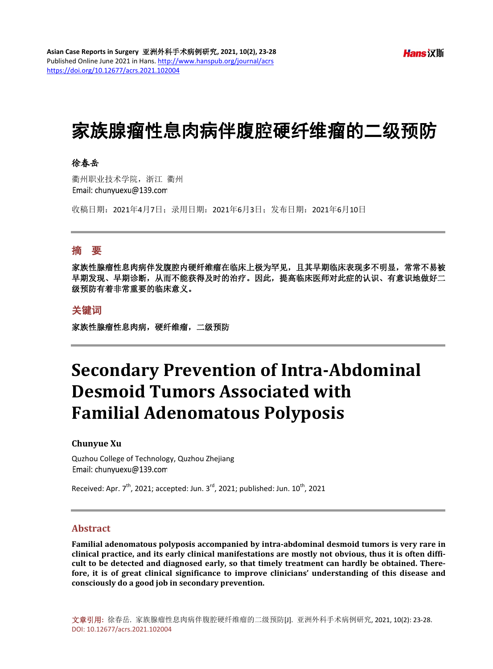# 家族腺瘤性息肉病伴腹腔硬纤维瘤的二级预防

## 徐春岳

衢州职业技术学院,浙江 衢州 Email: chunvuexu@139.com

收稿日期:2021年4月7日;录用日期:2021年6月3日;发布日期:2021年6月10日

## 摘 要

家族性腺瘤性息肉病伴发腹腔内硬纤维瘤在临床上极为罕见,且其早期临床表现多不明显,常常不易被 早期发现、早期诊断,从而不能获得及时的治疗。因此,提高临床医师对此症的认识、有意识地做好二 级预防有着非常重要的临床意义。

### 关键词

家族性腺瘤性息肉病,硬纤维瘤,二级预防

# **Secondary Prevention of Intra-Abdominal Desmoid Tumors Associated with Familial Adenomatous Polyposis**

#### **Chunyue Xu**

Quzhou College of Technology, Quzhou Zhejiang Email: chunyuexu@139.com

Received: Apr.  $7^{th}$ , 2021; accepted: Jun.  $3^{rd}$ , 2021; published: Jun.  $10^{th}$ , 2021

#### **Abstract**

**Familial adenomatous polyposis accompanied by intra-abdominal desmoid tumors is very rare in clinical practice, and its early clinical manifestations are mostly not obvious, thus it is often difficult to be detected and diagnosed early, so that timely treatment can hardly be obtained. Therefore, it is of great clinical significance to improve clinicians' understanding of this disease and consciously do a good job in secondary prevention.**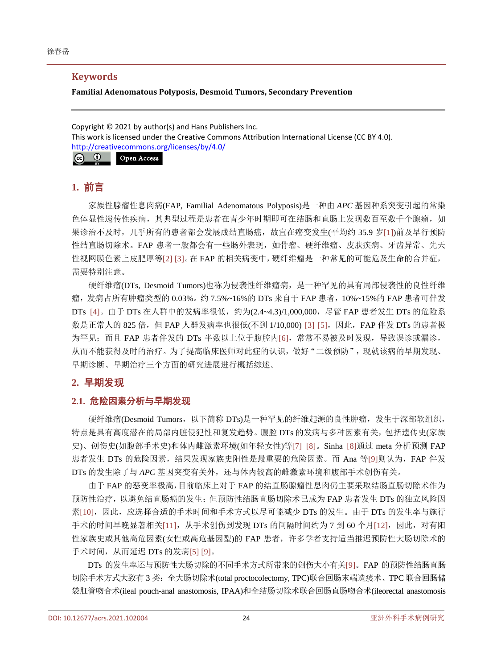## **Keywords**

#### **Familial Adenomatous Polyposis, Desmoid Tumors, Secondary Prevention**

Copyright © 2021 by author(s) and Hans Publishers Inc. This work is licensed under the Creative Commons Attribution International License (CC BY 4.0). <http://creativecommons.org/licenses/by/4.0/>



# **1.** 前言

家族性腺瘤性息肉病(FAP, Familial Adenomatous Polyposis)是一种由 *APC* 基因种系突变引起的常染 色体显性遗传性疾病,其典型过程是患者在青少年时期即可在结肠和直肠上发现数百至数千个腺瘤,如 果诊治不及时,几乎所有的患者都会发展成结直肠癌,故宜在癌变发生(平均约 35.9 岁[\[1\]\)](#page-3-0)前及早行预防 性结直肠切除术。FAP 患者一般都会有一些肠外表现,如骨瘤、硬纤维瘤、皮肤疾病、牙齿异常、先天 性视网膜色素上皮肥厚等[\[2\]](#page-3-1) [\[3\]](#page-4-0)。在 FAP 的相关病变中,硬纤维瘤是一种常见的可能危及生命的合并症, 需要特别注意。

硬纤维瘤(DTs, Desmoid Tumors)也称为侵袭性纤维瘤病,是一种罕见的具有局部侵袭性的良性纤维 瘤,发病占所有肿瘤类型的 0.03%。约 7.5%~16%的 DTs 来自于 FAP 患者,10%~15%的 FAP 患者可伴发 DTs [\[4\]](#page-4-1)。由于 DTs 在人群中的发病率很低,约为(2.4~4.3)/1,000,000,尽管 FAP 患者发生 DTs 的危险系 数是正常人的 825 倍,但 FAP 人群发病率也很低(不到 1/10,000) [\[3\]](#page-4-0) [\[5\]](#page-4-2), 因此, FAP 伴发 DTs 的患者极 为罕见;而且 FAP 患者伴发的 DTs 半数以上位于腹腔内[\[6\]](#page-4-3),常常不易被及时发现,导致误诊或漏诊, 从而不能获得及时的治疗。为了提高临床医师对此症的认识,做好"二级预防",现就该病的早期发现、 早期诊断、早期治疗三个方面的研究进展进行概括综述。

# **2.** 早期发现

# **2.1.** 危险因素分析与早期发现

硬纤维瘤(Desmoid Tumors, 以下简称 DTs)是一种罕见的纤维起源的良性肿瘤, 发生于深部软组织, 特点是具有高度潜在的局部内脏侵犯性和复发趋势。腹腔 DTs 的发病与多种因素有关,包括遗传史(家族 史)、创伤史(如腹部手术史)和体内雌激素环境(如年轻女性)等[\[7\]](#page-4-4) [\[8\]](#page-4-5)。Sinha [\[8\]](#page-4-5)通过 meta 分析预测 FAP 患者发生 DTs 的危险因素,结果发现家族史阳性是最重要的危险因素。而 Ana 等[\[9\]](#page-4-6)则认为, FAP 伴发 DTs 的发生除了与 APC 基因突变有关外,还与体内较高的雌激素环境和腹部手术创伤有关。

由于 FAP 的恶变率极高,目前临床上对于 FAP 的结直肠腺瘤性息肉仍主要采取结肠直肠切除术作为 预防性治疗,以避免结直肠癌的发生;但预防性结肠直肠切除术已成为 FAP 患者发生 DTs 的独立风险因 素[\[10\]](#page-4-7), 因此, 应选择合适的手术时间和手术方式以尽可能减少 DTs 的发生。由于 DTs 的发生率与施行 手术的时间早晚显著相关[\[11\]](#page-4-8),从手术创伤到发现 DTs 的间隔时间约为 7 到 60 个月[\[12\]](#page-4-9),因此, 对有阳 性家族史或其他高危因素(女性或高危基因型)的 FAP 患者, 许多学者支持适当推迟预防性大肠切除术的 手术时间, 从而延迟 DTs 的发病[\[5\]](#page-4-2) [\[9\]](#page-4-6)。

DTs 的发生率还与预防性大肠切除的不同手术方式所带来的创伤大小有关[\[9\]](#page-4-6)。FAP 的预防性结肠直肠 切除手术方式大致有 3 类:全大肠切除术(total proctocolectomy, TPC)联合回肠末端造瘘术、TPC 联合回肠储 袋肛管吻合术(ileal pouch-anal anastomosis, IPAA)和全结肠切除术联合回肠直肠吻合术(ileorectal anastomosis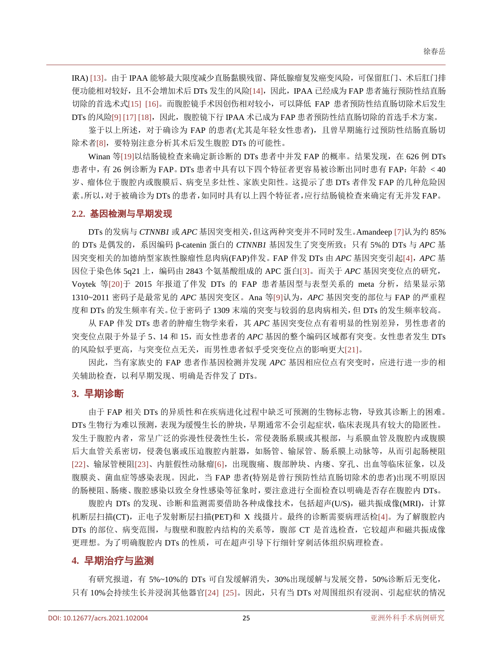IRA) [\[13\]](#page-4-10)。由于 IPAA 能够最大限度减少直肠黏膜残留、降低腺瘤复发癌变风险,可保留肛门、术后肛门排 便功能相对较好,且不会增加术后 DTs 发生的风险[\[14\]](#page-4-11),因此,IPAA 已经成为 FAP 患者施行预防性结直肠 切除的首选术式[\[15\]](#page-4-12) [\[16\]](#page-4-13)。而腹腔镜手术因创伤相对较小,可以降低 FAP 患者预防性结直肠切除术后发生  $DTs$  的风险[\[9\]](#page-4-6) [\[17\]](#page-4-14) [\[18\]](#page-4-15),因此, 腹腔镜下行 IPAA 术已成为 FAP 患者预防性结直肠切除的首选手术方案。

鉴于以上所述,对于确诊为 FAP 的患者(尤其是年轻女性患者),且曾早期施行过预防性结肠直肠切 除术者[\[8\]](#page-4-5),要特别注意分析其术后发生腹腔 DTs 的可能性。

Winan 等[\[19\]](#page-4-16)以结肠镜检查来确定新诊断的 DTs 患者中并发 FAP 的概率。结果发现, 在 626 例 DTs 患者中,有 26 例诊断为 FAP。DTs 患者中具有以下四个特征者更容易被诊断出同时患有 FAP: 年龄 < 40 岁、瘤体位于腹腔内或腹膜后、病变呈多灶性、家族史阳性。这提示了患 DTs 者伴发 FAP 的几种危险因 素。所以,对于被确诊为 DTs 的患者,如同时具有以上四个特征者,应行结肠镜检查来确定有无并发 FAP。

#### **2.2.** 基因检测与早期发现

DTs 的发病与 *CTNNB1* 或 *APC* 基因突变相关,但这两种突变并不同时发生。Amandeep [\[7\]](#page-4-4)认为约 85% 的 DTs 是偶发的,系因编码 β-catenin 蛋白的 *CTNNB1* 基因发生了突变所致;只有 5%的 DTs 与 *APC* 基 因突变相关的加德纳型家族性腺瘤性息肉病(FAP)伴发。FAP 伴发 DTs 由 *APC* 基因突变引起[\[4\]](#page-4-1),*APC* 基 因位于染色体 5q21 上,编码由 2843 个氨基酸组成的 APC 蛋白[\[3\]](#page-4-0)。而关于 *APC* 基因突变位点的研究, Voytek 等[\[20\]](#page-4-17)于 2015 年报道了伴发 DTs 的 FAP 患者基因型与表型关系的 meta 分析, 结果显示第 1310~2011 密码子是最常见的 *APC* 基因突变区。Ana 等[\[9\]](#page-4-6)认为,*APC* 基因突变的部位与 FAP 的严重程 度和 DTs 的发生频率有关。位于密码子 1309 末端的突变与较弱的息肉病相关,但 DTs 的发生频率较高。

从 FAP 伴发 DTs 患者的肿瘤生物学来看, 其 APC 基因突变位点有着明显的性别差异, 男性患者的 突变位点限于外显子 5、14 和 15,而女性患者的 *APC* 基因的整个编码区域都有突变。女性患者发生 DTs 的风险似乎更高,与突变位点无关,而男性患者似乎受突变位点的影响更大[\[21\]](#page-4-18)。

因此,当有家族史的 FAP 患者作基因检测并发现 *APC* 基因相应位点有突变时,应进行进一步的相 关辅助检查,以利早期发现、明确是否伴发了 DTs。

#### **3.** 早期诊断

由于 FAP 相关 DTs 的异质性和在疾病进化过程中缺乏可预测的生物标志物,导致其诊断上的困难。 DTs 生物行为难以预测,表现为缓慢生长的肿块,早期通常不会引起症状,临床表现具有较大的隐匿性。 发生于腹腔内者,常呈广泛的弥漫性侵袭性生长,常侵袭肠系膜或其根部,与系膜血管及腹腔内或腹膜 后大血管关系密切,侵袭包裹或压迫腹腔内脏器,如肠管、输尿管、肠系膜上动脉等,从而引起肠梗阻 [\[22\]](#page-4-19)、输尿管梗阻[\[23\]](#page-4-20)、内脏假性动脉瘤[\[6\]](#page-4-3),出现腹痛、腹部肿块、内瘘、穿孔、出血等临床征象,以及 腹膜炎、菌血症等感染表现。因此,当 FAP 患者(特别是曾行预防性结直肠切除术的患者)出现不明原因 的肠梗阻、肠瘘、腹腔感染以致全身性感染等征象时,要注意进行全面检查以明确是否存在腹腔内 DTs。

腹腔内 DTs 的发现、诊断和监测需要借助各种成像技术,包括超声(U/S),磁共振成像(MRI), 计算 机断层扫描(CT),正电子发射断层扫描(PET)和 X 线摄片。最终的诊断需要病理活检[\[4\]](#page-4-1)。为了解腹腔内 DTs 的部位、病变范围,与腹壁和腹腔内结构的关系等,腹部 CT 是首选检查,它较超声和磁共振成像 更理想。为了明确腹腔内 DTs 的性质,可在超声引导下行细针穿刺活体组织病理检查。

### **4.** 早期治疗与监测

有研究报道,有 5%~10%的 DTs 可自发缓解消失,30%出现缓解与发展交替,50%诊断后无变化, 只有 10%会持续生长并浸润其他器官[\[24\]](#page-5-0) [\[25\]](#page-5-1)。因此, 只有当 DTs 对周围组织有浸润、引起症状的情况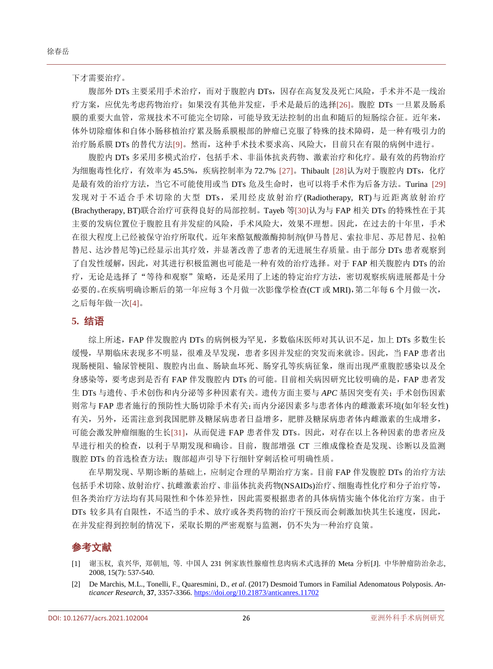下才需要治疗。

腹部外 DTs 主要采用手术治疗,而对于腹腔内 DTs,因存在高复发及死亡风险,手术并不是一线治 疗方案,应优先考虑药物治疗;如果没有其他并发症,手术是最后的选择[\[26\]](#page-5-2)。腹腔 DTs 一旦累及肠系 膜的重要大血管,常规技术不可能完全切除,可能导致无法控制的出血和随后的短肠综合征。近年来, 体外切除瘤体和自体小肠移植治疗累及肠系膜根部的肿瘤已克服了特殊的技术障碍,是一种有吸引力的 治疗肠系膜 DTs 的替代方法[\[9\]](#page-4-6)。然而,这种手术技术要求高、风险大,目前只在有限的病例中进行。

腹腔内 DTs 多采用多模式治疗,包括手术、非甾体抗炎药物、激素治疗和化疗。最有效的药物治疗 为细胞毒性化疗,有效率为 45.5%,疾病控制率为 72.7% [\[27\]](#page-5-3)。Thibault [\[28\]](#page-5-4)认为对于腹腔内 DTs, 化疗 是最有效的治疗方法,当它不可能使用或当 DTs 危及生命时,也可以将手术作为后备方法。Turina [\[29\]](#page-5-5) 发现对于不适合手术切除的大型 DTs,采用经皮放射治疗(Radiotherapy, RT)与近距离放射治疗 (Brachytherapy, BT)联合治疗可获得良好的局部控制。Tayeb 等[\[30\]](#page-5-6)认为与 FAP 相关 DTs 的特殊性在于其 主要的发病位置位于腹腔且有并发症的风险,手术风险大,效果不理想。因此,在过去的十年里,手术 在很大程度上已经被保守治疗所取代。近年来酪氨酸激酶抑制剂(伊马替尼、索拉非尼、苏尼替尼、拉帕 替尼、达沙替尼等)已经显示出其疗效,并显著改善了患者的无进展生存质量。由于部分 DTs 患者观察到 了自发性缓解,因此,对其进行积极监测也可能是一种有效的治疗选择。对于 FAP 相关腹腔内 DTs 的治 疗,无论是选择了"等待和观察"策略,还是采用了上述的特定治疗方法,密切观察疾病进展都是十分 必要的。在疾病明确诊断后的第一年应每 3 个月做一次影像学检查(CT 或 MRI),第二年每 6 个月做一次, 之后每年做一次[\[4\]](#page-4-1)。

#### **5.** 结语

综上所述,FAP 伴发腹腔内 DTs 的病例极为罕见,多数临床医师对其认识不足,加上 DTs 多数生长 缓慢,早期临床表现多不明显,很难及早发现,患者多因并发症的突发而来就诊。因此,当 FAP 患者出 现肠梗阻、输尿管梗阻、腹腔内出血、肠缺血坏死、肠穿孔等疾病征象,继而出现严重腹腔感染以及全 身感染等,要考虑到是否有 FAP 伴发腹腔内 DTs 的可能。目前相关病因研究比较明确的是,FAP 患者发 生 DTs 与遗传、手术创伤和内分泌等多种因素有关。遗传方面主要与 *APC* 基因突变有关;手术创伤因素 则常与 FAP 患者施行的预防性大肠切除手术有关;而内分泌因素多与患者体内的雌激素环境(如年轻女性) 有关,另外,还需注意到我国肥胖及糖尿病患者日益增多,肥胖及糖尿病患者体内雌激素的生成增多, 可能会激发肿瘤细胞的生长[\[31\]](#page-5-7),从而促进 FAP 患者伴发 DTs。因此,对存在以上各种因素的患者应及 早进行相关的检查,以利于早期发现和确诊。目前,腹部增强 CT 三维成像检查是发现、诊断以及监测 腹腔 DTs 的首选检查方法; 腹部超声引导下行细针穿刺活检可明确性质。

在早期发现、早期诊断的基础上,应制定合理的早期治疗方案。目前 FAP 伴发腹腔 DTs 的治疗方法 包括手术切除、放射治疗、抗雌激素治疗、非甾体抗炎药物(NSAIDs)治疗、细胞毒性化疗和分子治疗等, 但各类治疗方法均有其局限性和个体差异性,因此需要根据患者的具体病情实施个体化治疗方案。由于 DTs 较多具有自限性,不适当的手术、放疗或各类药物的治疗干预反而会刺激加快其生长速度,因此, 在并发症得到控制的情况下,采取长期的严密观察与监测,仍不失为一种治疗良策。

# 参考文献

- <span id="page-3-0"></span>[1] 谢玉权, 袁兴华, 郑朝旭, 等. 中国人 231 例家族性腺瘤性息肉病术式选择的 Meta 分析[J]. 中华肿瘤防治杂志, 2008, 15(7): 537-540.
- <span id="page-3-1"></span>[2] De Marchis, M.L., Tonelli, F., Quaresmini, D., *et al*. (2017) Desmoid Tumors in Familial Adenomatous Polyposis. *Anticancer Research*, **37**, 3357-3366. <https://doi.org/10.21873/anticanres.11702>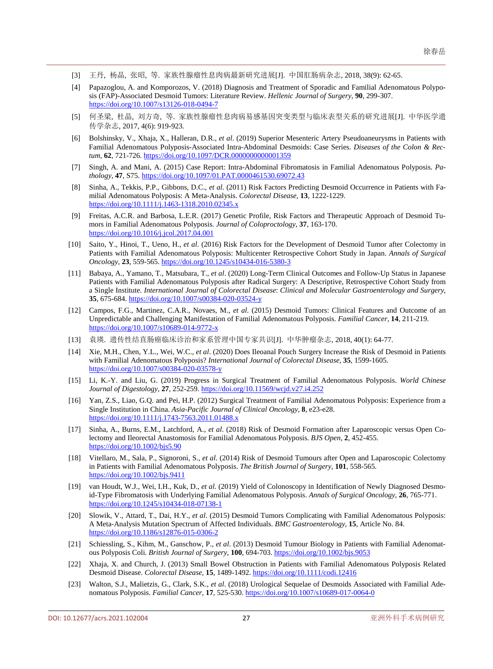- <span id="page-4-0"></span>[3] 王丹, 杨晶, 张昭, 等. 家族性腺瘤性息肉病最新研究进展[J]. 中国肛肠病杂志, 2018, 38(9): 62-65.
- <span id="page-4-1"></span>[4] Papazoglou, A. and Komporozos, V. (2018) Diagnosis and Treatment of Sporadic and Familial Adenomatous Polyposis (FAP)-Associated Desmoid Tumors: Literature Review. *Hellenic Journal of Surgery*, **90**, 299-307. <https://doi.org/10.1007/s13126-018-0494-7>
- <span id="page-4-2"></span>[5] 何圣梁, 杜晶, 刘方奇, 等. 家族性腺瘤性息肉病易感基因突变类型与临床表型关系的研究进展[J]. 中华医学遗 传学杂志, 2017, 4(6): 919-923.
- <span id="page-4-3"></span>[6] Bolshinsky, V., Xhaja, X., Halleran, D.R., *et al*. (2019) Superior Mesenteric Artery Pseudoaneurysms in Patients with Familial Adenomatous Polyposis-Associated Intra-Abdominal Desmoids: Case Series. *Diseases of the Colon & Rectum*, **62**, 721-726[. https://doi.org/10.1097/DCR.0000000000001359](https://doi.org/10.1097/DCR.0000000000001359)
- <span id="page-4-4"></span>[7] Singh, A. and Mani, A. (2015) Case Report: Intra-Abdominal Fibromatosis in Familial Adenomatous Polyposis. *Pathology*, **47**, S75. <https://doi.org/10.1097/01.PAT.0000461530.69072.43>
- <span id="page-4-5"></span>[8] Sinha, A., Tekkis, P.P., Gibbons, D.C., *et al*. (2011) Risk Factors Predicting Desmoid Occurrence in Patients with Familial Adenomatous Polyposis: A Meta-Analysis. *Colorectal Disease*, **13**, 1222-1229. <https://doi.org/10.1111/j.1463-1318.2010.02345.x>
- <span id="page-4-6"></span>[9] Freitas, A.C.R. and Barbosa, L.E.R. (2017) Genetic Profile, Risk Factors and Therapeutic Approach of Desmoid Tumors in Familial Adenomatous Polyposis. *Journal of Coloproctology*, **37**, 163-170. <https://doi.org/10.1016/j.jcol.2017.04.001>
- <span id="page-4-7"></span>[10] Saito, Y., Hinoi, T., Ueno, H., *et al*. (2016) Risk Factors for the Development of Desmoid Tumor after Colectomy in Patients with Familial Adenomatous Polyposis: Multicenter Retrospective Cohort Study in Japan. *Annals of Surgical Oncology*, **23**, 559-565.<https://doi.org/10.1245/s10434-016-5380-3>
- <span id="page-4-8"></span>[11] Babaya, A., Yamano, T., Matsubara, T., *et al*. (2020) Long-Term Clinical Outcomes and Follow-Up Status in Japanese Patients with Familial Adenomatous Polyposis after Radical Surgery: A Descriptive, Retrospective Cohort Study from a Single Institute. *International Journal of Colorectal Disease*: *Clinical and Molecular Gastroenterology and Surgery*, **35**, 675-684[. https://doi.org/10.1007/s00384-020-03524-y](https://doi.org/10.1007/s00384-020-03524-y)
- <span id="page-4-9"></span>[12] Campos, F.G., Martinez, C.A.R., Novaes, M., *et al*. (2015) Desmoid Tumors: Clinical Features and Outcome of an Unpredictable and Challenging Manifestation of Familial Adenomatous Polyposis. *Familial Cancer*, **14**, 211-219. <https://doi.org/10.1007/s10689-014-9772-x>
- <span id="page-4-10"></span>[13] 袁瑛. 遗传性结直肠癌临床诊治和家系管理中国专家共识[J]. 中华肿瘤杂志, 2018, 40(1): 64-77.
- <span id="page-4-11"></span>[14] Xie, M.H., Chen, Y.L., Wei, W.C., *et al*. (2020) Does Ileoanal Pouch Surgery Increase the Risk of Desmoid in Patients with Familial Adenomatous Polyposis? *International Journal of Colorectal Disease*, **35**, 1599-1605. <https://doi.org/10.1007/s00384-020-03578-y>
- <span id="page-4-12"></span>[15] Li, K.-Y. and Liu, G. (2019) Progress in Surgical Treatment of Familial Adenomatous Polyposis. *World Chinese Journal of Digestology*, **27**, 252-259[. https://doi.org/10.11569/wcjd.v27.i4.252](https://doi.org/10.11569/wcjd.v27.i4.252)
- <span id="page-4-13"></span>[16] Yan, Z.S., Liao, G.Q. and Pei, H.P. (2012) Surgical Treatment of Familial Adenomatous Polyposis: Experience from a Single Institution in China. *Asia*-*Pacific Journal of Clinical Oncology*, **8**, e23-e28. https://doi.org/10.1111/j.1743-7563.2011.01488.
- <span id="page-4-14"></span>[17] Sinha, A., Burns, E.M., Latchford, A., *et al*. (2018) Risk of Desmoid Formation after Laparoscopic versus Open Colectomy and Ileorectal Anastomosis for Familial Adenomatous Polyposis. *BJS Open*, **2**, 452-455. <https://doi.org/10.1002/bjs5.90>
- <span id="page-4-15"></span>[18] Vitellaro, M., Sala, P., Signoroni, S., *et al*. (2014) Risk of Desmoid Tumours after Open and Laparoscopic Colectomy in Patients with Familial Adenomatous Polyposis. *The British Journal of Surgery*, **101**, 558-565. <https://doi.org/10.1002/bjs.9411>
- <span id="page-4-16"></span>[19] van Houdt, W.J., Wei, I.H., Kuk, D., *et al*. (2019) Yield of Colonoscopy in Identification of Newly Diagnosed Desmoid-Type Fibromatosis with Underlying Familial Adenomatous Polyposis. *Annals of Surgical Oncology*, **26**, 765-771. <https://doi.org/10.1245/s10434-018-07138-1>
- <span id="page-4-17"></span>[20] Slowik, V., Attard, T., Dai, H.Y., *et al*. (2015) Desmoid Tumors Complicating with Familial Adenomatous Polyposis: A Meta-Analysis Mutation Spectrum of Affected Individuals. *BMC Gastroenterology*, **15**, Article No. 84. <https://doi.org/10.1186/s12876-015-0306-2>
- <span id="page-4-18"></span>[21] Schiessling, S., Kihm, M., Ganschow, P., *et al*. (2013) Desmoid Tumour Biology in Patients with Familial Adenomatous Polyposis Coli. *British Journal of Surgery*, **100**, 694-703[. https://doi.org/10.1002/bjs.9053](https://doi.org/10.1002/bjs.9053)
- <span id="page-4-19"></span>[22] Xhaja, X. and Church, J. (2013) Small Bowel Obstruction in Patients with Familial Adenomatous Polyposis Related Desmoid Disease. *Colorectal Disease*, **15**, 1489-1492[. https://doi.org/10.1111/codi.12416](https://doi.org/10.1111/codi.12416)
- <span id="page-4-20"></span>[23] Walton, S.J., Malietzis, G., Clark, S.K., *et al*. (2018) Urological Sequelae of Desmoids Associated with Familial Adenomatous Polyposis. *Familial Cancer*, **17**, 525-530[. https://doi.org/10.1007/s10689-017-0064-0](https://doi.org/10.1007/s10689-017-0064-0)